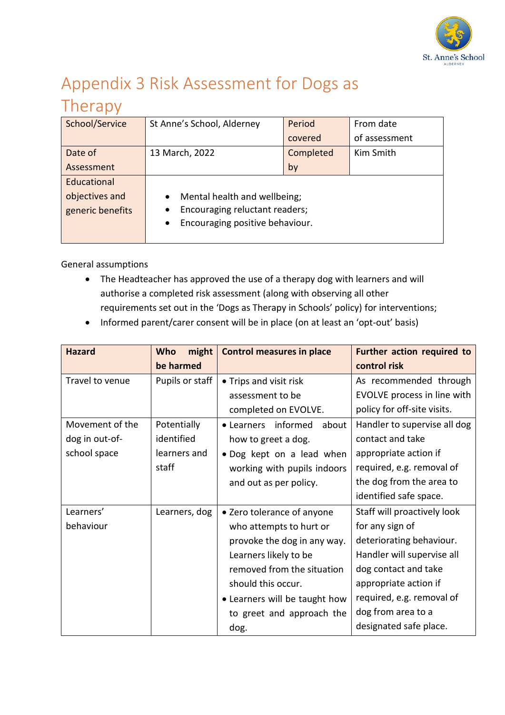

## Appendix 3 Risk Assessment for Dogs as

## Therapy

| School/Service   | St Anne's School, Alderney                   | Period    | From date     |
|------------------|----------------------------------------------|-----------|---------------|
|                  |                                              | covered   | of assessment |
| Date of          | 13 March, 2022                               | Completed | Kim Smith     |
| Assessment       |                                              | by        |               |
| Educational      |                                              |           |               |
| objectives and   | Mental health and wellbeing;                 |           |               |
| generic benefits | Encouraging reluctant readers;               |           |               |
|                  | Encouraging positive behaviour.<br>$\bullet$ |           |               |
|                  |                                              |           |               |

General assumptions

- The Headteacher has approved the use of a therapy dog with learners and will authorise a completed risk assessment (along with observing all other requirements set out in the 'Dogs as Therapy in Schools' policy) for interventions;
- Informed parent/carer consent will be in place (on at least an 'opt-out' basis)

| <b>Hazard</b>   | might<br>Who    | <b>Control measures in place</b> | <b>Further action required to</b> |
|-----------------|-----------------|----------------------------------|-----------------------------------|
|                 | be harmed       |                                  | control risk                      |
| Travel to venue | Pupils or staff | • Trips and visit risk           | As recommended through            |
|                 |                 | assessment to be                 | EVOLVE process in line with       |
|                 |                 | completed on EVOLVE.             | policy for off-site visits.       |
| Movement of the | Potentially     | • Learners informed<br>about     | Handler to supervise all dog      |
| dog in out-of-  | identified      | how to greet a dog.              | contact and take                  |
| school space    | learners and    | . Dog kept on a lead when        | appropriate action if             |
|                 | staff           | working with pupils indoors      | required, e.g. removal of         |
|                 |                 | and out as per policy.           | the dog from the area to          |
|                 |                 |                                  | identified safe space.            |
| Learners'       | Learners, dog   | • Zero tolerance of anyone       | Staff will proactively look       |
| behaviour       |                 | who attempts to hurt or          | for any sign of                   |
|                 |                 | provoke the dog in any way.      | deteriorating behaviour.          |
|                 |                 | Learners likely to be            | Handler will supervise all        |
|                 |                 | removed from the situation       | dog contact and take              |
|                 |                 | should this occur.               | appropriate action if             |
|                 |                 | • Learners will be taught how    | required, e.g. removal of         |
|                 |                 | to greet and approach the        | dog from area to a                |
|                 |                 | dog.                             | designated safe place.            |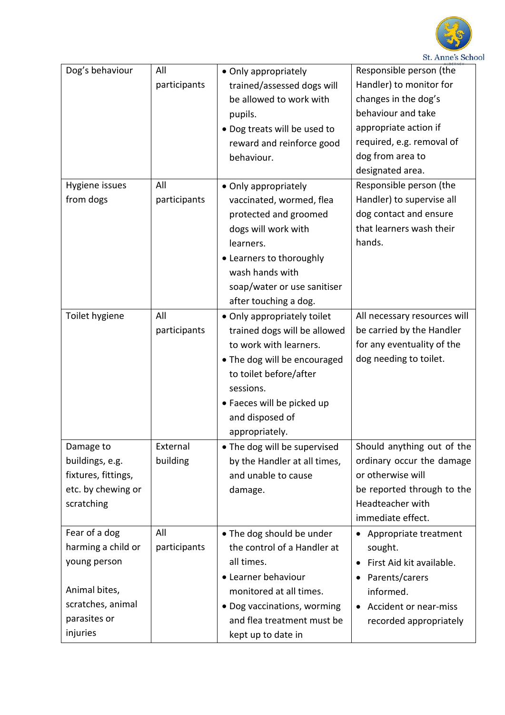

| Dog's behaviour                                                                                                       | All<br>participants  | • Only appropriately<br>trained/assessed dogs will<br>be allowed to work with<br>pupils.<br>• Dog treats will be used to<br>reward and reinforce good<br>behaviour.                                                             | Responsible person (the<br>Handler) to monitor for<br>changes in the dog's<br>behaviour and take<br>appropriate action if<br>required, e.g. removal of<br>dog from area to<br>designated area. |
|-----------------------------------------------------------------------------------------------------------------------|----------------------|---------------------------------------------------------------------------------------------------------------------------------------------------------------------------------------------------------------------------------|------------------------------------------------------------------------------------------------------------------------------------------------------------------------------------------------|
| Hygiene issues<br>from dogs                                                                                           | All<br>participants  | • Only appropriately<br>vaccinated, wormed, flea<br>protected and groomed<br>dogs will work with<br>learners.<br>• Learners to thoroughly<br>wash hands with<br>soap/water or use sanitiser<br>after touching a dog.            | Responsible person (the<br>Handler) to supervise all<br>dog contact and ensure<br>that learners wash their<br>hands.                                                                           |
| Toilet hygiene                                                                                                        | All<br>participants  | • Only appropriately toilet<br>trained dogs will be allowed<br>to work with learners.<br>. The dog will be encouraged<br>to toilet before/after<br>sessions.<br>• Faeces will be picked up<br>and disposed of<br>appropriately. | All necessary resources will<br>be carried by the Handler<br>for any eventuality of the<br>dog needing to toilet.                                                                              |
| Damage to<br>buildings, e.g.<br>fixtures, fittings,<br>etc. by chewing or<br>scratching                               | External<br>building | • The dog will be supervised<br>by the Handler at all times,<br>and unable to cause<br>damage.                                                                                                                                  | Should anything out of the<br>ordinary occur the damage<br>or otherwise will<br>be reported through to the<br>Headteacher with<br>immediate effect.                                            |
| Fear of a dog<br>harming a child or<br>young person<br>Animal bites,<br>scratches, animal<br>parasites or<br>injuries | All<br>participants  | • The dog should be under<br>the control of a Handler at<br>all times.<br>• Learner behaviour<br>monitored at all times.<br>• Dog vaccinations, worming<br>and flea treatment must be<br>kept up to date in                     | Appropriate treatment<br>$\bullet$<br>sought.<br>First Aid kit available.<br>Parents/carers<br>informed.<br>Accident or near-miss<br>$\bullet$<br>recorded appropriately                       |